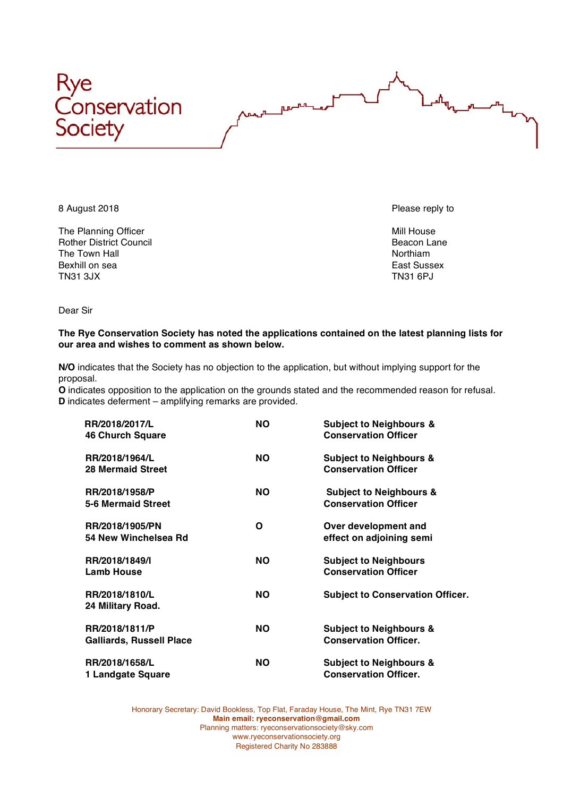



The Planning Officer Mill House and The Planning Officer Mill House and The Planning Officer Rother District Council and the Town Hall Beacon Lane Council and The Town Hall Beacon Lane Rother and The Town Hall and The Town Hall and The Town Hall and The Town Hall and The Town Hall and The Town Hall and The Town Ha The Town Hall Bexhill on sea **East Sussex** East Sussex TN31 3JX TN31 6PJ

Dear Sir

## **The Rye Conservation Society has noted the applications contained on the latest planning lists for our area and wishes to comment as shown below.**

**ALL ILIV** 

**N/O** indicates that the Society has no objection to the application, but without implying support for the proposal.

**O** indicates opposition to the application on the grounds stated and the recommended reason for refusal. **D** indicates deferment – amplifying remarks are provided.

|  | RR/2018/2017/L                  | <b>NO</b> | <b>Subject to Neighbours &amp;</b>      |
|--|---------------------------------|-----------|-----------------------------------------|
|  | <b>46 Church Square</b>         |           | <b>Conservation Officer</b>             |
|  | RR/2018/1964/L                  | <b>NO</b> | <b>Subject to Neighbours &amp;</b>      |
|  | <b>28 Mermaid Street</b>        |           | <b>Conservation Officer</b>             |
|  | RR/2018/1958/P                  | <b>NO</b> | <b>Subject to Neighbours &amp;</b>      |
|  | <b>5-6 Mermaid Street</b>       |           | <b>Conservation Officer</b>             |
|  | RR/2018/1905/PN                 | Ο         | Over development and                    |
|  | 54 New Winchelsea Rd            |           | effect on adjoining semi                |
|  | RR/2018/1849/I                  | <b>NO</b> | <b>Subject to Neighbours</b>            |
|  | <b>Lamb House</b>               |           | <b>Conservation Officer</b>             |
|  | RR/2018/1810/L                  | <b>NO</b> | <b>Subject to Conservation Officer.</b> |
|  | 24 Military Road.               |           |                                         |
|  | RR/2018/1811/P                  | <b>NO</b> | <b>Subject to Neighbours &amp;</b>      |
|  | <b>Galliards, Russell Place</b> |           | <b>Conservation Officer.</b>            |
|  | RR/2018/1658/L                  | <b>NO</b> | <b>Subject to Neighbours &amp;</b>      |
|  | 1 Landgate Square               |           | <b>Conservation Officer.</b>            |

Honorary Secretary: David Bookless, Top Flat, Faraday House, The Mint, Rye TN31 7EW **Main email: ryeconservation@gmail.com** Planning matters: ryeconservationsociety@sky.com www.ryeconservationsociety.org Registered Charity No 283888